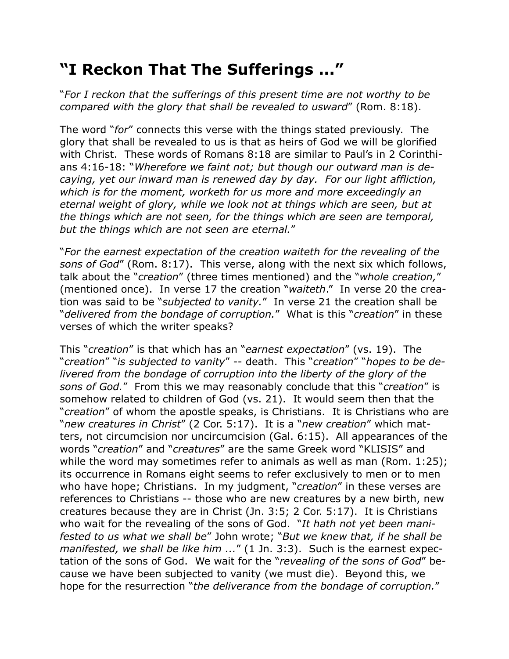## **"I Reckon That The Sufferings ..."**

"*For I reckon that the sufferings of this present time are not worthy to be compared with the glory that shall be revealed to usward*" (Rom. 8:18).

The word "*for*" connects this verse with the things stated previously. The glory that shall be revealed to us is that as heirs of God we will be glorified with Christ. These words of Romans 8:18 are similar to Paul's in 2 Corinthians 4:16-18: "*Wherefore we faint not; but though our outward man is decaying, yet our inward man is renewed day by day. For our light affliction, which is for the moment, worketh for us more and more exceedingly an eternal weight of glory, while we look not at things which are seen, but at the things which are not seen, for the things which are seen are temporal, but the things which are not seen are eternal.*"

"*For the earnest expectation of the creation waiteth for the revealing of the sons of God*" (Rom. 8:17). This verse, along with the next six which follows, talk about the "*creation*" (three times mentioned) and the "*whole creation,*" (mentioned once). In verse 17 the creation "*waiteth*." In verse 20 the creation was said to be "*subjected to vanity.*" In verse 21 the creation shall be "*delivered from the bondage of corruption.*" What is this "*creation*" in these verses of which the writer speaks?

This "*creation*" is that which has an "*earnest expectation*" (vs. 19). The "*creation*" "*is subjected to vanity*" -- death. This "*creation*" "*hopes to be delivered from the bondage of corruption into the liberty of the glory of the sons of God.*" From this we may reasonably conclude that this "*creation*" is somehow related to children of God (vs. 21). It would seem then that the "*creation*" of whom the apostle speaks, is Christians. It is Christians who are "*new creatures in Christ*" (2 Cor. 5:17). It is a "*new creation*" which matters, not circumcision nor uncircumcision (Gal. 6:15). All appearances of the words "*creation*" and "*creatures*" are the same Greek word "KLISIS" and while the word may sometimes refer to animals as well as man (Rom. 1:25); its occurrence in Romans eight seems to refer exclusively to men or to men who have hope; Christians. In my judgment, "*creation*" in these verses are references to Christians -- those who are new creatures by a new birth, new creatures because they are in Christ (Jn. 3:5; 2 Cor. 5:17). It is Christians who wait for the revealing of the sons of God. "*It hath not yet been manifested to us what we shall be*" John wrote; "*But we knew that, if he shall be manifested, we shall be like him ...*" (1 Jn. 3:3). Such is the earnest expectation of the sons of God. We wait for the "*revealing of the sons of God*" because we have been subjected to vanity (we must die). Beyond this, we hope for the resurrection "*the deliverance from the bondage of corruption.*"